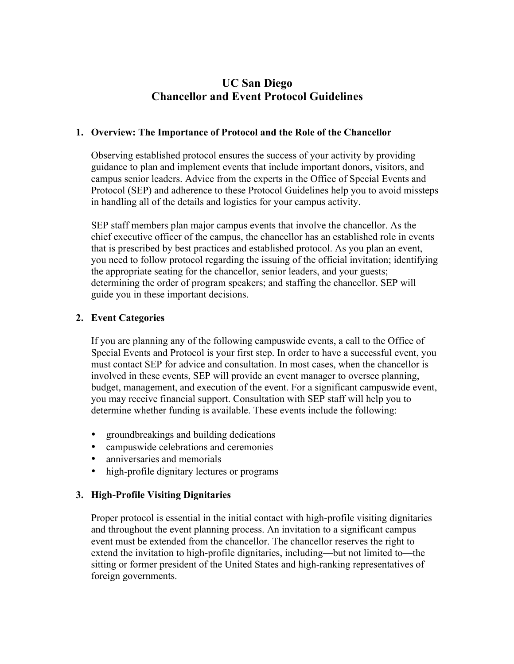# **UC San Diego Chancellor and Event Protocol Guidelines**

## **1. Overview: The Importance of Protocol and the Role of the Chancellor**

Observing established protocol ensures the success of your activity by providing guidance to plan and implement events that include important donors, visitors, and campus senior leaders. Advice from the experts in the Office of Special Events and Protocol (SEP) and adherence to these Protocol Guidelines help you to avoid missteps in handling all of the details and logistics for your campus activity.

SEP staff members plan major campus events that involve the chancellor. As the chief executive officer of the campus, the chancellor has an established role in events that is prescribed by best practices and established protocol. As you plan an event, you need to follow protocol regarding the issuing of the official invitation; identifying the appropriate seating for the chancellor, senior leaders, and your guests; determining the order of program speakers; and staffing the chancellor. SEP will guide you in these important decisions.

## **2. Event Categories**

If you are planning any of the following campuswide events, a call to the Office of Special Events and Protocol is your first step. In order to have a successful event, you must contact SEP for advice and consultation. In most cases, when the chancellor is involved in these events, SEP will provide an event manager to oversee planning, budget, management, and execution of the event. For a significant campuswide event, you may receive financial support. Consultation with SEP staff will help you to determine whether funding is available. These events include the following:

- groundbreakings and building dedications
- campuswide celebrations and ceremonies
- anniversaries and memorials
- high-profile dignitary lectures or programs

#### **3. High-Profile Visiting Dignitaries**

Proper protocol is essential in the initial contact with high-profile visiting dignitaries and throughout the event planning process. An invitation to a significant campus event must be extended from the chancellor. The chancellor reserves the right to extend the invitation to high-profile dignitaries, including—but not limited to—the sitting or former president of the United States and high-ranking representatives of foreign governments.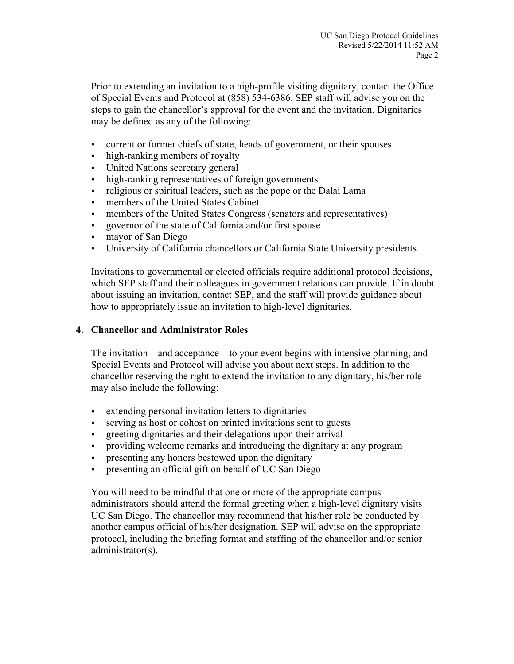Prior to extending an invitation to a high-profile visiting dignitary, contact the Office of Special Events and Protocol at (858) 534-6386. SEP staff will advise you on the steps to gain the chancellor's approval for the event and the invitation. Dignitaries may be defined as any of the following:

- current or former chiefs of state, heads of government, or their spouses
- high-ranking members of royalty
- United Nations secretary general
- high-ranking representatives of foreign governments
- religious or spiritual leaders, such as the pope or the Dalai Lama
- members of the United States Cabinet
- members of the United States Congress (senators and representatives)
- governor of the state of California and/or first spouse
- mayor of San Diego
- University of California chancellors or California State University presidents

Invitations to governmental or elected officials require additional protocol decisions, which SEP staff and their colleagues in government relations can provide. If in doubt about issuing an invitation, contact SEP, and the staff will provide guidance about how to appropriately issue an invitation to high-level dignitaries.

#### **4. Chancellor and Administrator Roles**

The invitation—and acceptance—to your event begins with intensive planning, and Special Events and Protocol will advise you about next steps. In addition to the chancellor reserving the right to extend the invitation to any dignitary, his/her role may also include the following:

- extending personal invitation letters to dignitaries
- serving as host or cohost on printed invitations sent to guests
- greeting dignitaries and their delegations upon their arrival
- providing welcome remarks and introducing the dignitary at any program
- presenting any honors bestowed upon the dignitary
- presenting an official gift on behalf of UC San Diego

You will need to be mindful that one or more of the appropriate campus administrators should attend the formal greeting when a high-level dignitary visits UC San Diego. The chancellor may recommend that his/her role be conducted by another campus official of his/her designation. SEP will advise on the appropriate protocol, including the briefing format and staffing of the chancellor and/or senior administrator(s).